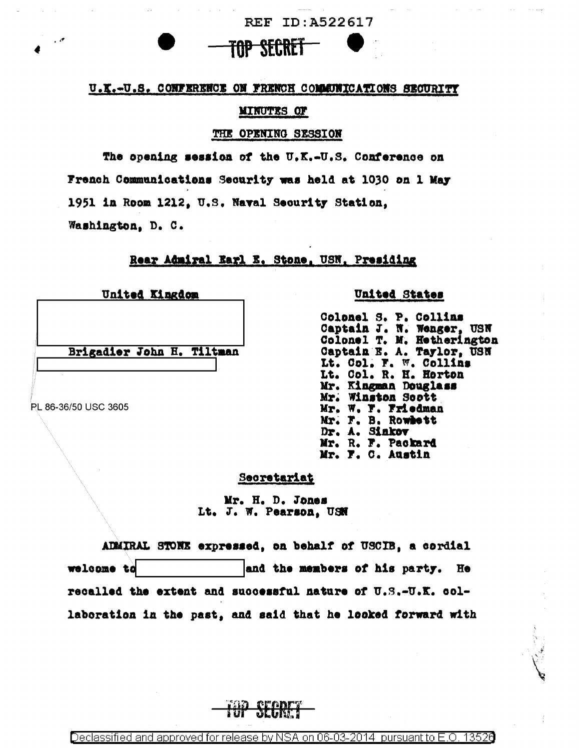

<del>top secre</del>

REF ID: A522617

#### **MINUTES OF**

#### THE OPENING SESSION

The opening session of the U.K.-U.S. Conference on French Communications Security was held at 1030 on 1 May 1951 in Room 1212, U.S. Naval Security Station, Washington, D. C.

# Rear Admiral Earl E. Stone, USN, Presiding

United Kingdom

Brigadier John H. Tiltman

PL 86-36/50 USC 3605

## United States

Colonel S. P. Collins Captain J. N. Wenger, USN Colonel T. M. Hetherington Captain E. A. Taylor, USN Lt. Col. F. W. Collins Lt. Col. R. H. Horton Mr. Kingman Douglass Mr. Winston Soott Mr. W. F. Friedman Mr. F. B. Rowhett Dr. A. Sinkov Mr. R. F. Packard Mr. F. C. Austin

## Secretariat

Mr. H. D. Jones Lt. J. W. Pearson. USN

ADMIRAL STONE expressed, on behalf of USCIB, a cordial welcome to and the members of his party. He recalled the extent and successful nature of U.S.-U.K. collaboration in the past, and said that he looked forward with

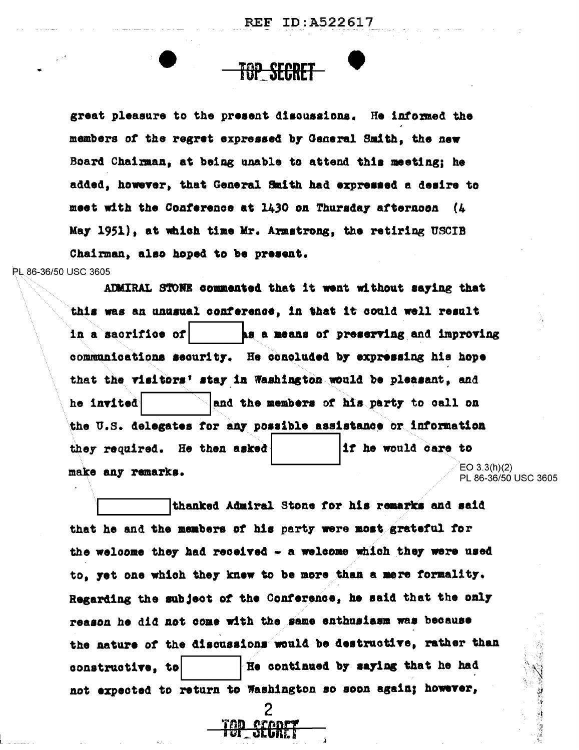**REF ID:A522617** 

great pleasure to the present discussions. He informed the members of the regret expressed by General Smith, the new Board Chairman, at being unable to attend this meeting; he added, however, that General Smith had expressed a desire to meet with the Conference at 1430 on Thursday afternoon (4 May 1951), at which time Mr. Armstrong, the retiring USCIB Chairman, also hoped to be present.

<del>TOP SECRET</del>

PL 86-36/50 USC 3605

ADMIRAL STOWE commented that it went without saying that this was an unusual conference, in that it could well result in a sacrifice of as a means of preserving and improving communications security. He concluded by expressing his hope that the visitors' stay in Washington would be pleasant, and and the members of his party to call on he invited the U.S. delegates for any possible assistance or information they required. He then asked if he would care to  $EO 3.3(h)(2)$ make any remarks. PL 86-36/50 USC 3605

thanked Admiral Stone for his remarks and said that he and the members of his party were most grateful for the welcome they had received - a welcome which they were used to, yet one which they knew to be more than a mere formality. Regarding the subject of the Conference, he said that the only reason he did not come with the same enthusiasm was because the nature of the discussions would be destructive, rather than He continued by saying that he had constructive, to not expected to return to Washington so soon again; however,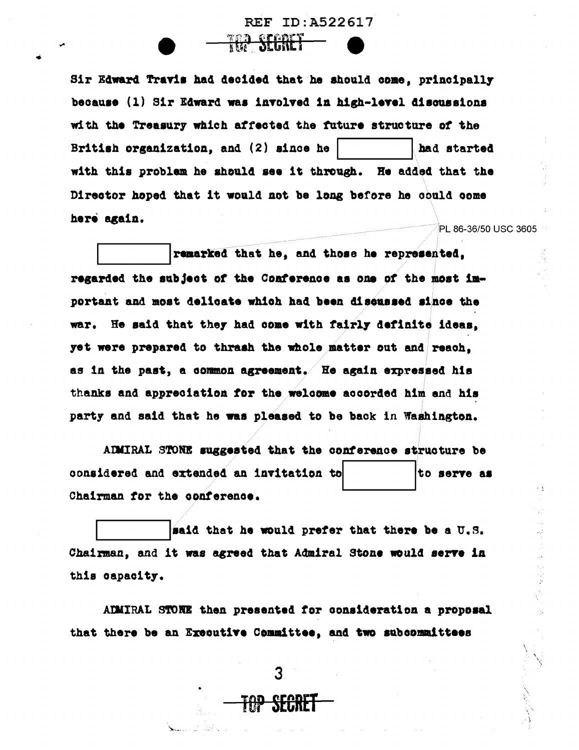Sir Edward Travis had decided that he should come, principally because (1) Sir Edward was involved in high-level discussions with the Treasury which affected the future structure of the British organization, and (2) since he had started with this problem he should see it through. He added that the Director hoped that it would not be long before he could come here again. PL 86-36/50 USC 3605

**SEGACY** 

REF ID: A522617

remarked that he, and those he represented, regarded the subject of the Conference as one of the most important and most delicate which had been discussed since the war. He said that they had come with fairly definite ideas. yet were prepared to thrash the whole matter out and reach. as in the past, a common agreement. He again expressed his thanks and appreciation for the welcome accorded him and his party and said that he was pleased to be back in Washington.

ADMIRAL STONE suggested that the conference structure be considered and extended an invitation to to serve as Chairman for the conference.

 $\epsilon$  .  $\xi$ 

医无反应

said that he would prefer that there be a U.S. Chairman, and it was agreed that Admiral Stone would serve in this capacity.

ADMIRAL STONE then presented for consideration a proposal that there be an Executive Committee, and two subcommittees